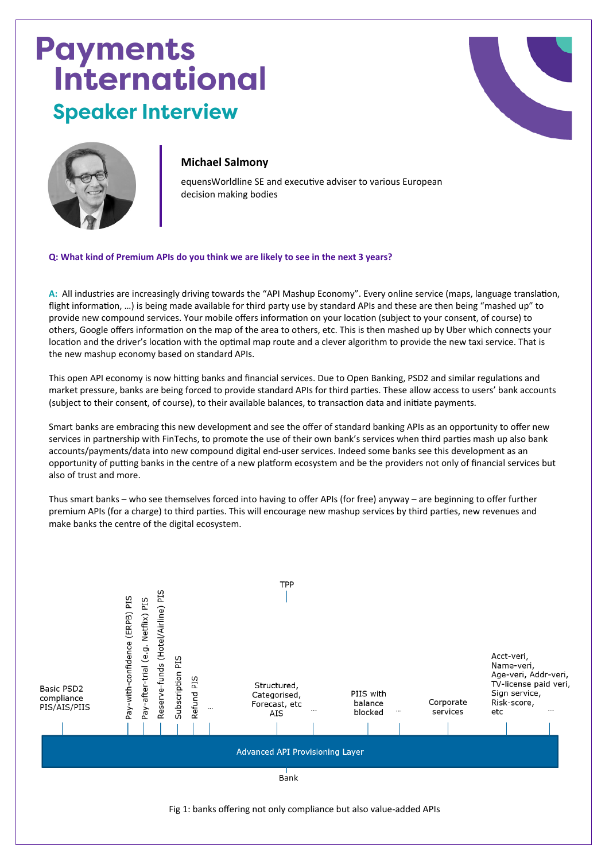## **Payments<br>International Speaker Interview**





## **Michael Salmony**

equensWorldline SE and executive adviser to various European decision making bodies

**Q: What kind of Premium APIs do you think we are likely to see in the next 3 years?** 

**A:** All industries are increasingly driving towards the "API Mashup Economy". Every online service (maps, language translation, flight information, …) is being made available for third party use by standard APIs and these are then being "mashed up" to provide new compound services. Your mobile offers information on your location (subject to your consent, of course) to others, Google offers information on the map of the area to others, etc. This is then mashed up by Uber which connects your location and the driver's location with the optimal map route and a clever algorithm to provide the new taxi service. That is the new mashup economy based on standard APIs.

This open API economy is now hitting banks and financial services. Due to Open Banking, PSD2 and similar regulations and market pressure, banks are being forced to provide standard APIs for third parties. These allow access to users' bank accounts (subject to their consent, of course), to their available balances, to transaction data and initiate payments.

Smart banks are embracing this new development and see the offer of standard banking APIs as an opportunity to offer new services in partnership with FinTechs, to promote the use of their own bank's services when third parties mash up also bank accounts/payments/data into new compound digital end-user services. Indeed some banks see this development as an opportunity of putting banks in the centre of a new platform ecosystem and be the providers not only of financial services but also of trust and more.

Thus smart banks – who see themselves forced into having to offer APIs (for free) anyway – are beginning to offer further premium APIs (for a charge) to third parties. This will encourage new mashup services by third parties, new revenues and make banks the centre of the digital ecosystem.

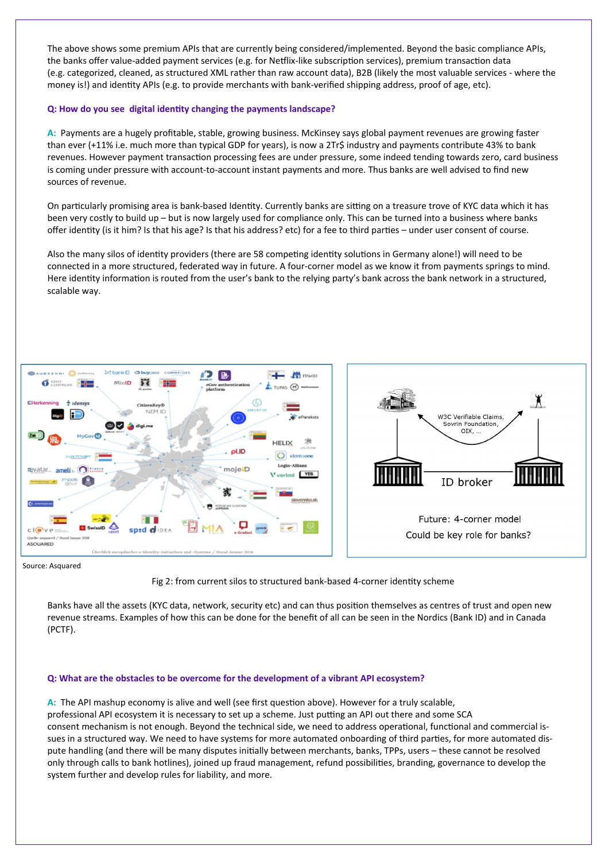The above shows some premium APIs that are currently being considered/implemented. Beyond the basic compliance APIs, the banks offer value-added payment services (e.g. for Netflix-like subscription services), premium transaction data (e.g. categorized, cleaned, as structured XML rather than raw account data), B2B (likely the most valuable services - where the money is!) and identity APIs (e.g. to provide merchants with bank-verified shipping address, proof of age, etc).

## **Q: How do you see digital identity changing the payments landscape?**

**A:** Payments are a hugely profitable, stable, growing business. McKinsey says global payment revenues are growing faster than ever (+11% i.e. much more than typical GDP for years), is now a 2Tr\$ industry and payments contribute 43% to bank revenues. However payment transaction processing fees are under pressure, some indeed tending towards zero, card business is coming under pressure with account-to-account instant payments and more. Thus banks are well advised to find new sources of revenue.

On particularly promising area is bank-based Identity. Currently banks are sitting on a treasure trove of KYC data which it has been very costly to build up – but is now largely used for compliance only. This can be turned into a business where banks offer identity (is it him? Is that his age? Is that his address? etc) for a fee to third parties – under user consent of course.

Also the many silos of identity providers (there are 58 competing identity solutions in Germany alone!) will need to be connected in a more structured, federated way in future. A four-corner model as we know it from payments springs to mind. Here identity information is routed from the user's bank to the relying party's bank across the bank network in a structured, scalable way.



Source: Asquared



Banks have all the assets (KYC data, network, security etc) and can thus position themselves as centres of trust and open new revenue streams. Examples of how this can be done for the benefit of all can be seen in the Nordics (Bank ID) and in Canada (PCTF).

## **Q: What are the obstacles to be overcome for the development of a vibrant API ecosystem?**

**A:** The API mashup economy is alive and well (see first question above). However for a truly scalable, professional API ecosystem it is necessary to set up a scheme. Just putting an API out there and some SCA consent mechanism is not enough. Beyond the technical side, we need to address operational, functional and commercial issues in a structured way. We need to have systems for more automated onboarding of third parties, for more automated dispute handling (and there will be many disputes initially between merchants, banks, TPPs, users – these cannot be resolved only through calls to bank hotlines), joined up fraud management, refund possibilities, branding, governance to develop the system further and develop rules for liability, and more.